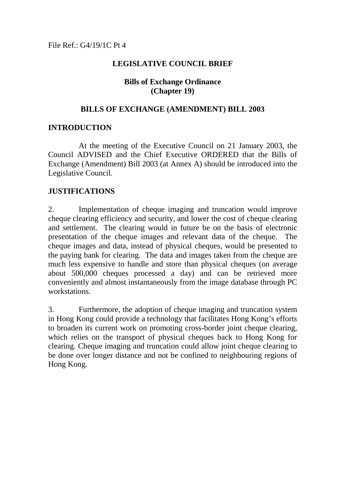## **LEGISLATIVE COUNCIL BRIEF**

## **Bills of Exchange Ordinance (Chapter 19)**

#### **BILLS OF EXCHANGE (AMENDMENT) BILL 2003**

## **INTRODUCTION**

At the meeting of the Executive Council on 21 January 2003, the Council ADVISED and the Chief Executive ORDERED that the Bills of Exchange (Amendment) Bill 2003 (at Annex A) should be introduced into the Legislative Council.

## **JUSTIFICATIONS**

2. Implementation of cheque imaging and truncation would improve cheque clearing efficiency and security, and lower the cost of cheque clearing and settlement. The clearing would in future be on the basis of electronic presentation of the cheque images and relevant data of the cheque. The cheque images and data, instead of physical cheques, would be presented to the paying bank for clearing. The data and images taken from the cheque are much less expensive to handle and store than physical cheques (on average about 500,000 cheques processed a day) and can be retrieved more conveniently and almost instantaneously from the image database through PC workstations.

3. Furthermore, the adoption of cheque imaging and truncation system in Hong Kong could provide a technology that facilitates Hong Kong's efforts to broaden its current work on promoting cross-border joint cheque clearing, which relies on the transport of physical cheques back to Hong Kong for clearing. Cheque imaging and truncation could allow joint cheque clearing to be done over longer distance and not be confined to neighbouring regions of Hong Kong.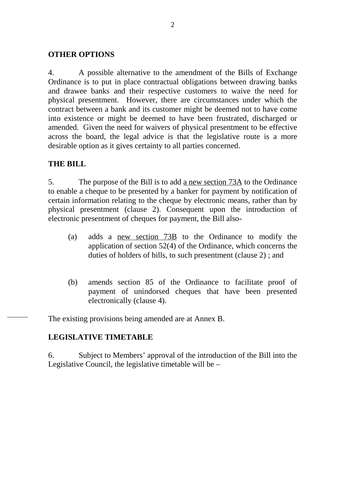## **OTHER OPTIONS**

4. A possible alternative to the amendment of the Bills of Exchange Ordinance is to put in place contractual obligations between drawing banks and drawee banks and their respective customers to waive the need for physical presentment. However, there are circumstances under which the contract between a bank and its customer might be deemed not to have come into existence or might be deemed to have been frustrated, discharged or amended. Given the need for waivers of physical presentment to be effective across the board, the legal advice is that the legislative route is a more desirable option as it gives certainty to all parties concerned.

# **THE BILL**

5. The purpose of the Bill is to add a new section 73A to the Ordinance to enable a cheque to be presented by a banker for payment by notification of certain information relating to the cheque by electronic means, rather than by physical presentment (clause 2). Consequent upon the introduction of electronic presentment of cheques for payment, the Bill also-

- (a) adds a new section 73B to the Ordinance to modify the application of section 52(4) of the Ordinance, which concerns the duties of holders of bills, to such presentment (clause 2) ; and
- (b) amends section 85 of the Ordinance to facilitate proof of payment of unindorsed cheques that have been presented electronically (clause 4).

The existing provisions being amended are at Annex B.

# **LEGISLATIVE TIMETABLE**

6. Subject to Members' approval of the introduction of the Bill into the Legislative Council, the legislative timetable will be –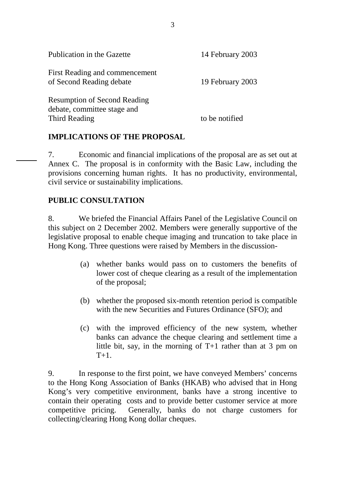| Publication in the Gazette                                         | 14 February 2003 |
|--------------------------------------------------------------------|------------------|
| First Reading and commencement<br>of Second Reading debate         | 19 February 2003 |
| <b>Resumption of Second Reading</b><br>debate, committee stage and |                  |
| Third Reading                                                      | to be notified   |

# **IMPLICATIONS OF THE PROPOSAL**

7. Economic and financial implications of the proposal are as set out at Annex C. The proposal is in conformity with the Basic Law, including the provisions concerning human rights. It has no productivity, environmental, civil service or sustainability implications.

## **PUBLIC CONSULTATION**

8. We briefed the Financial Affairs Panel of the Legislative Council on this subject on 2 December 2002. Members were generally supportive of the legislative proposal to enable cheque imaging and truncation to take place in Hong Kong. Three questions were raised by Members in the discussion-

- (a) whether banks would pass on to customers the benefits of lower cost of cheque clearing as a result of the implementation of the proposal;
- (b) whether the proposed six-month retention period is compatible with the new Securities and Futures Ordinance (SFO); and
- (c) with the improved efficiency of the new system, whether banks can advance the cheque clearing and settlement time a little bit, say, in the morning of T+1 rather than at 3 pm on  $T+1$

9. In response to the first point, we have conveyed Members' concerns to the Hong Kong Association of Banks (HKAB) who advised that in Hong Kong's very competitive environment, banks have a strong incentive to contain their operating costs and to provide better customer service at more competitive pricing. Generally, banks do not charge customers for collecting/clearing Hong Kong dollar cheques.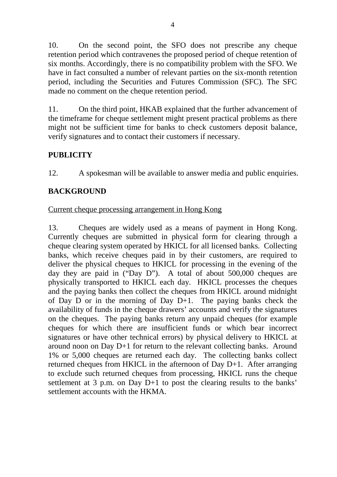10. On the second point, the SFO does not prescribe any cheque retention period which contravenes the proposed period of cheque retention of six months. Accordingly, there is no compatibility problem with the SFO. We have in fact consulted a number of relevant parties on the six-month retention period, including the Securities and Futures Commission (SFC). The SFC made no comment on the cheque retention period.

11. On the third point, HKAB explained that the further advancement of the timeframe for cheque settlement might present practical problems as there might not be sufficient time for banks to check customers deposit balance, verify signatures and to contact their customers if necessary.

# **PUBLICITY**

12. A spokesman will be available to answer media and public enquiries.

# **BACKGROUND**

## Current cheque processing arrangement in Hong Kong

13. Cheques are widely used as a means of payment in Hong Kong. Currently cheques are submitted in physical form for clearing through a cheque clearing system operated by HKICL for all licensed banks. Collecting banks, which receive cheques paid in by their customers, are required to deliver the physical cheques to HKICL for processing in the evening of the day they are paid in ("Day D"). A total of about 500,000 cheques are physically transported to HKICL each day. HKICL processes the cheques and the paying banks then collect the cheques from HKICL around midnight of Day D or in the morning of Day D+1. The paying banks check the availability of funds in the cheque drawers' accounts and verify the signatures on the cheques. The paying banks return any unpaid cheques (for example cheques for which there are insufficient funds or which bear incorrect signatures or have other technical errors) by physical delivery to HKICL at around noon on Day D+1 for return to the relevant collecting banks. Around 1% or 5,000 cheques are returned each day. The collecting banks collect returned cheques from HKICL in the afternoon of Day D+1. After arranging to exclude such returned cheques from processing, HKICL runs the cheque settlement at 3 p.m. on Day D+1 to post the clearing results to the banks' settlement accounts with the HKMA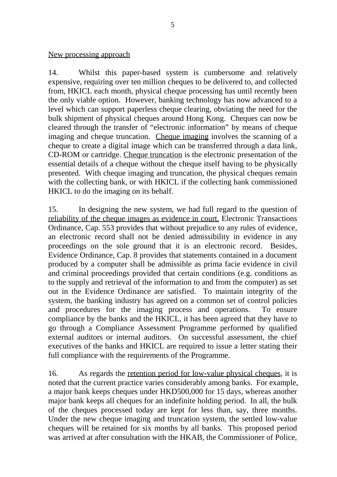New processing approach

14. Whilst this paper-based system is cumbersome and relatively expensive, requiring over ten million cheques to be delivered to, and collected from, HKICL each month, physical cheque processing has until recently been the only viable option. However, banking technology has now advanced to a level which can support paperless cheque clearing, obviating the need for the bulk shipment of physical cheques around Hong Kong. Cheques can now be cleared through the transfer of "electronic information" by means of cheque imaging and cheque truncation. Cheque imaging involves the scanning of a cheque to create a digital image which can be transferred through a data link, CD-ROM or cartridge. Cheque truncation is the electronic presentation of the essential details of a cheque without the cheque itself having to be physically presented. With cheque imaging and truncation, the physical cheques remain with the collecting bank, or with HKICL if the collecting bank commissioned HKICL to do the imaging on its behalf.

15. In designing the new system, we had full regard to the question of reliability of the cheque images as evidence in court. Electronic Transactions Ordinance, Cap. 553 provides that without prejudice to any rules of evidence, an electronic record shall not be denied admissibility in evidence in any proceedings on the sole ground that it is an electronic record. Besides, Evidence Ordinance, Cap. 8 provides that statements contained in a document produced by a computer shall be admissible as prima facie evidence in civil and criminal proceedings provided that certain conditions (e.g. conditions as to the supply and retrieval of the information to and from the computer) as set out in the Evidence Ordinance are satisfied. To maintain integrity of the system, the banking industry has agreed on a common set of control policies and procedures for the imaging process and operations. To ensure compliance by the banks and the HKICL, it has been agreed that they have to go through a Compliance Assessment Programme performed by qualified external auditors or internal auditors. On successful assessment, the chief executives of the banks and HKICL are required to issue a letter stating their full compliance with the requirements of the Programme.

16. As regards the retention period for low-value physical cheques, it is noted that the current practice varies considerably among banks. For example, a major bank keeps cheques under HKD500,000 for 15 days, whereas another major bank keeps all cheques for an indefinite holding period. In all, the bulk of the cheques processed today are kept for less than, say, three months. Under the new cheque imaging and truncation system, the settled low-value cheques will be retained for six months by all banks. This proposed period was arrived at after consultation with the HKAB, the Commissioner of Police,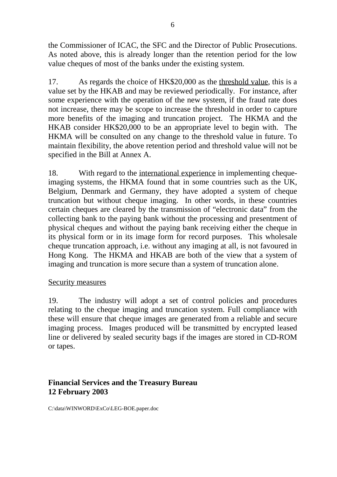the Commissioner of ICAC, the SFC and the Director of Public Prosecutions. As noted above, this is already longer than the retention period for the low value cheques of most of the banks under the existing system.

17. As regards the choice of HK\$20,000 as the threshold value, this is a value set by the HKAB and may be reviewed periodically. For instance, after some experience with the operation of the new system, if the fraud rate does not increase, there may be scope to increase the threshold in order to capture more benefits of the imaging and truncation project. The HKMA and the HKAB consider HK\$20,000 to be an appropriate level to begin with. The HKMA will be consulted on any change to the threshold value in future. To maintain flexibility, the above retention period and threshold value will not be specified in the Bill at Annex A.

18. With regard to the international experience in implementing chequeimaging systems, the HKMA found that in some countries such as the UK, Belgium, Denmark and Germany, they have adopted a system of cheque truncation but without cheque imaging. In other words, in these countries certain cheques are cleared by the transmission of "electronic data" from the collecting bank to the paying bank without the processing and presentment of physical cheques and without the paying bank receiving either the cheque in its physical form or in its image form for record purposes. This wholesale cheque truncation approach, i.e. without any imaging at all, is not favoured in Hong Kong. The HKMA and HKAB are both of the view that a system of imaging and truncation is more secure than a system of truncation alone.

# Security measures

19. The industry will adopt a set of control policies and procedures relating to the cheque imaging and truncation system. Full compliance with these will ensure that cheque images are generated from a reliable and secure imaging process. Images produced will be transmitted by encrypted leased line or delivered by sealed security bags if the images are stored in CD-ROM or tapes.

# **Financial Services and the Treasury Bureau 12 February 2003**

C:\data\WINWORD\ExCo\LEG-BOE.paper.doc